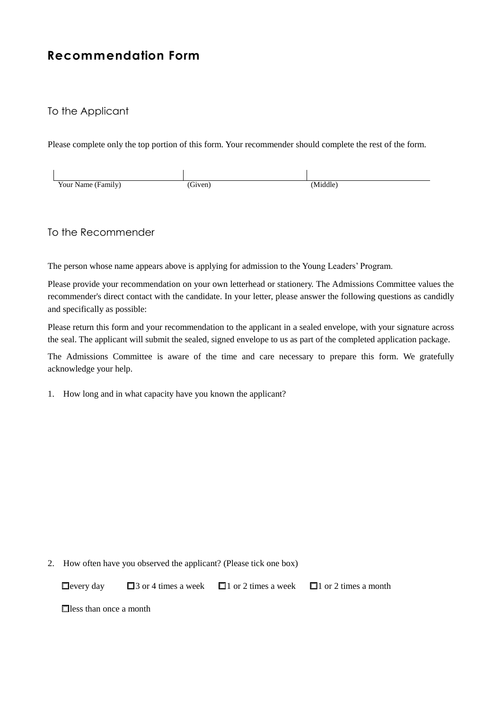## **Recommendation Form**

## To the Applicant

Please complete only the top portion of this form. Your recommender should complete the rest of the form.

| Your Name (Family) | Given) | (Middle) |
|--------------------|--------|----------|

## To the Recommender

The person whose name appears above is applying for admission to the Young Leaders' Program.

Please provide your recommendation on your own letterhead or stationery. The Admissions Committee values the recommender's direct contact with the candidate. In your letter, please answer the following questions as candidly and specifically as possible:

Please return this form and your recommendation to the applicant in a sealed envelope, with your signature across the seal. The applicant will submit the sealed, signed envelope to us as part of the completed application package.

The Admissions Committee is aware of the time and care necessary to prepare this form. We gratefully acknowledge your help.

1. How long and in what capacity have you known the applicant?

2. How often have you observed the applicant? (Please tick one box)

□every day □3 or 4 times a week □1 or 2 times a week □1 or 2 times a month

□less than once a month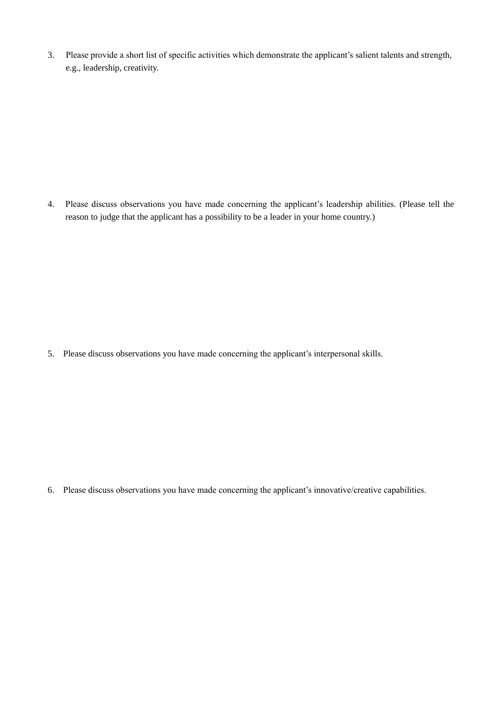3. Please provide a short list of specific activities which demonstrate the applicant's salient talents and strength, e.g., leadership, creativity.

4. Please discuss observations you have made concerning the applicant's leadership abilities. (Please tell the reason to judge that the applicant has a possibility to be a leader in your home country.)

5. Please discuss observations you have made concerning the applicant's interpersonal skills.

6. Please discuss observations you have made concerning the applicant's innovative/creative capabilities.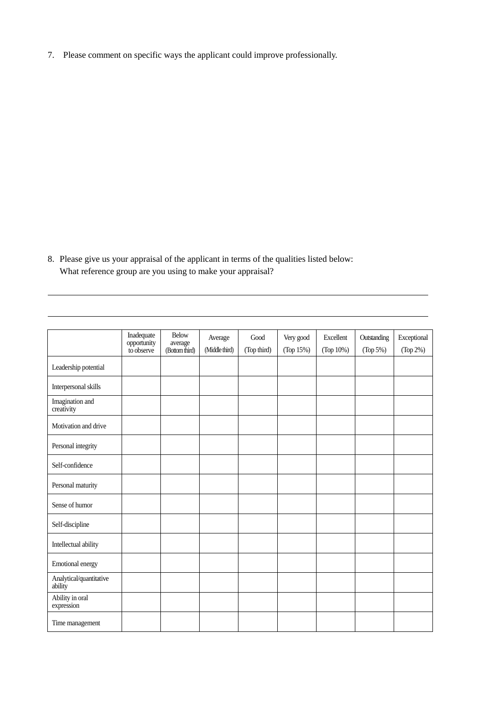7. Please comment on specific ways the applicant could improve professionally.

8. Please give us your appraisal of the applicant in terms of the qualities listed below: What reference group are you using to make your appraisal?

|                                    | Inadequate<br>opportunity<br>to observe | <b>Below</b><br>average<br>(Bottom third) | Average<br>(Middle third) | Good<br>(Top third) | Very good<br>(Top 15%) | Excellent<br>(Top 10%) | Outstanding<br>(Top 5%) | Exceptional<br>(Top 2%) |
|------------------------------------|-----------------------------------------|-------------------------------------------|---------------------------|---------------------|------------------------|------------------------|-------------------------|-------------------------|
| Leadership potential               |                                         |                                           |                           |                     |                        |                        |                         |                         |
| Interpersonal skills               |                                         |                                           |                           |                     |                        |                        |                         |                         |
| Imagination and<br>creativity      |                                         |                                           |                           |                     |                        |                        |                         |                         |
| Motivation and drive               |                                         |                                           |                           |                     |                        |                        |                         |                         |
| Personal integrity                 |                                         |                                           |                           |                     |                        |                        |                         |                         |
| Self-confidence                    |                                         |                                           |                           |                     |                        |                        |                         |                         |
| Personal maturity                  |                                         |                                           |                           |                     |                        |                        |                         |                         |
| Sense of humor                     |                                         |                                           |                           |                     |                        |                        |                         |                         |
| Self-discipline                    |                                         |                                           |                           |                     |                        |                        |                         |                         |
| Intellectual ability               |                                         |                                           |                           |                     |                        |                        |                         |                         |
| Emotional energy                   |                                         |                                           |                           |                     |                        |                        |                         |                         |
| Analytical/quantitative<br>ability |                                         |                                           |                           |                     |                        |                        |                         |                         |
| Ability in oral<br>expression      |                                         |                                           |                           |                     |                        |                        |                         |                         |
| Time management                    |                                         |                                           |                           |                     |                        |                        |                         |                         |